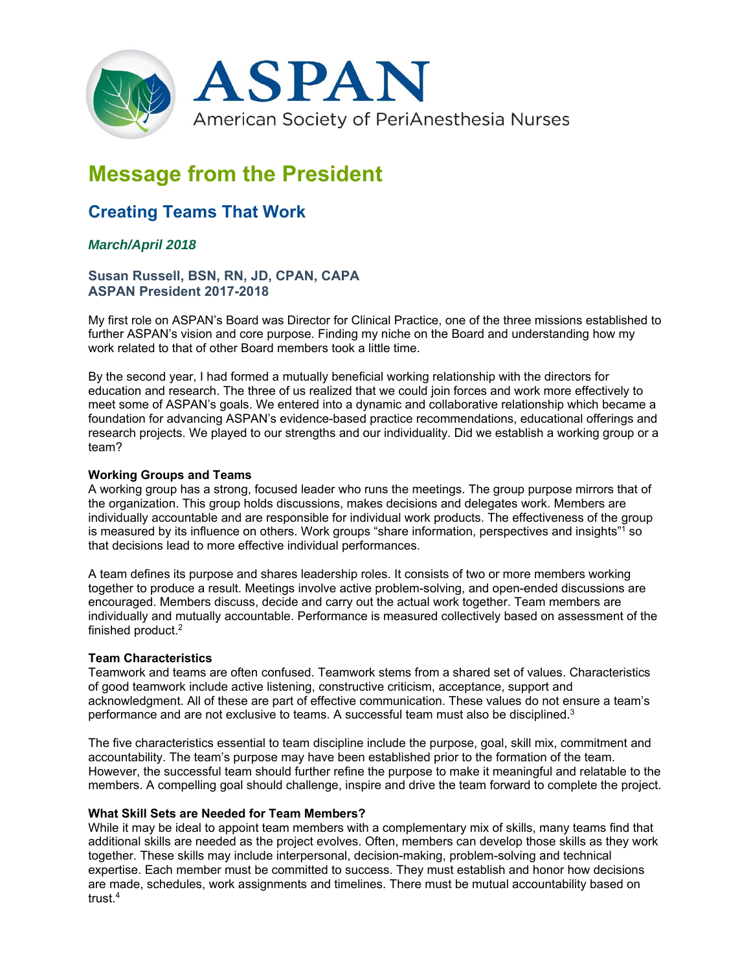

# **Message from the President**

# **Creating Teams That Work**

# *March/April 2018*

# **Susan Russell, BSN, RN, JD, CPAN, CAPA ASPAN President 2017-2018**

My first role on ASPAN's Board was Director for Clinical Practice, one of the three missions established to further ASPAN's vision and core purpose. Finding my niche on the Board and understanding how my work related to that of other Board members took a little time.

By the second year, I had formed a mutually beneficial working relationship with the directors for education and research. The three of us realized that we could join forces and work more effectively to meet some of ASPAN's goals. We entered into a dynamic and collaborative relationship which became a foundation for advancing ASPAN's evidence-based practice recommendations, educational offerings and research projects. We played to our strengths and our individuality. Did we establish a working group or a team?

## **Working Groups and Teams**

A working group has a strong, focused leader who runs the meetings. The group purpose mirrors that of the organization. This group holds discussions, makes decisions and delegates work. Members are individually accountable and are responsible for individual work products. The effectiveness of the group is measured by its influence on others. Work groups "share information, perspectives and insights"1 so that decisions lead to more effective individual performances.

A team defines its purpose and shares leadership roles. It consists of two or more members working together to produce a result. Meetings involve active problem-solving, and open-ended discussions are encouraged. Members discuss, decide and carry out the actual work together. Team members are individually and mutually accountable. Performance is measured collectively based on assessment of the finished product.2

#### **Team Characteristics**

Teamwork and teams are often confused. Teamwork stems from a shared set of values. Characteristics of good teamwork include active listening, constructive criticism, acceptance, support and acknowledgment. All of these are part of effective communication. These values do not ensure a team's performance and are not exclusive to teams. A successful team must also be disciplined.3

The five characteristics essential to team discipline include the purpose, goal, skill mix, commitment and accountability. The team's purpose may have been established prior to the formation of the team. However, the successful team should further refine the purpose to make it meaningful and relatable to the members. A compelling goal should challenge, inspire and drive the team forward to complete the project.

#### **What Skill Sets are Needed for Team Members?**

While it may be ideal to appoint team members with a complementary mix of skills, many teams find that additional skills are needed as the project evolves. Often, members can develop those skills as they work together. These skills may include interpersonal, decision-making, problem-solving and technical expertise. Each member must be committed to success. They must establish and honor how decisions are made, schedules, work assignments and timelines. There must be mutual accountability based on trust.4